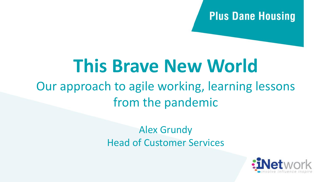## **Plus Dane Housing**

## **This Brave New World** Our approach to agile working, learning lessons

from the pandemic

Alex Grundy Head of Customer Services

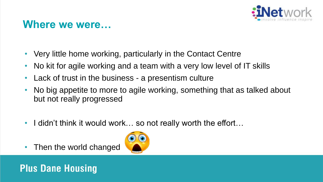

## **Where we were…**

- Very little home working, particularly in the Contact Centre
- No kit for agile working and a team with a very low level of IT skills
- Lack of trust in the business a presentism culture
- No big appetite to more to agile working, something that as talked about but not really progressed
- I didn't think it would work... so not really worth the effort...
- Then the world changed

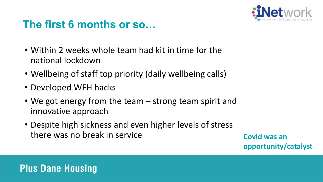

## **The first 6 months or so…**

- Within 2 weeks whole team had kit in time for the national lockdown
- Wellbeing of staff top priority (daily wellbeing calls)
- Developed WFH hacks
- We got energy from the team strong team spirit and innovative approach
- Despite high sickness and even higher levels of stress there was no break in service **Covid was an Covid was an**

**opportunity/catalyst**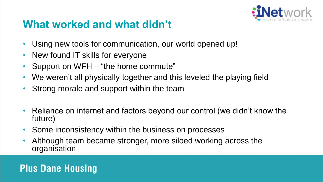

## **What worked and what didn't**

- Using new tools for communication, our world opened up!
- New found IT skills for everyone
- Support on WFH "the home commute"
- We weren't all physically together and this leveled the playing field
- Strong morale and support within the team
- Reliance on internet and factors beyond our control (we didn't know the future)
- Some inconsistency within the business on processes
- Although team became stronger, more siloed working across the organisation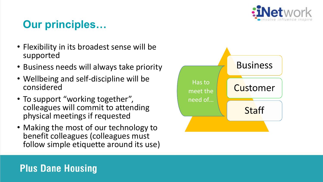

## **Our principles…**

- Flexibility in its broadest sense will be supported
- Business needs will always take priority
- Wellbeing and self-discipline will be considered
- To support "working together", colleagues will commit to attending physical meetings if requested
- Making the most of our technology to benefit colleagues (colleagues must follow simple etiquette around its use)

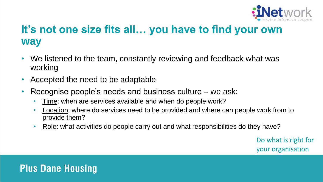

## **It's not one size fits all… you have to find your own way**

- We listened to the team, constantly reviewing and feedback what was working
- Accepted the need to be adaptable
- Recognise people's needs and business culture we ask:
	- Time: when are services available and when do people work?
	- Location: where do services need to be provided and where can people work from to provide them?
	- Role: what activities do people carry out and what responsibilities do they have?

Do what is right for your organisation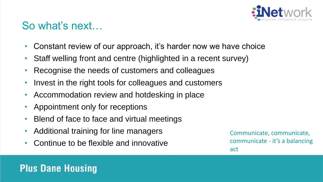

## So what's next…

- Constant review of our approach, it's harder now we have choice
- Staff welling front and centre (highlighted in a recent survey)
- Recognise the needs of customers and colleagues
- Invest in the right tools for colleagues and customers
- Accommodation review and hotdesking in place
- Appointment only for receptions
- Blend of face to face and virtual meetings
- Additional training for line managers
- Continue to be flexible and innovative

Communicate, communicate, communicate - it's a balancing act